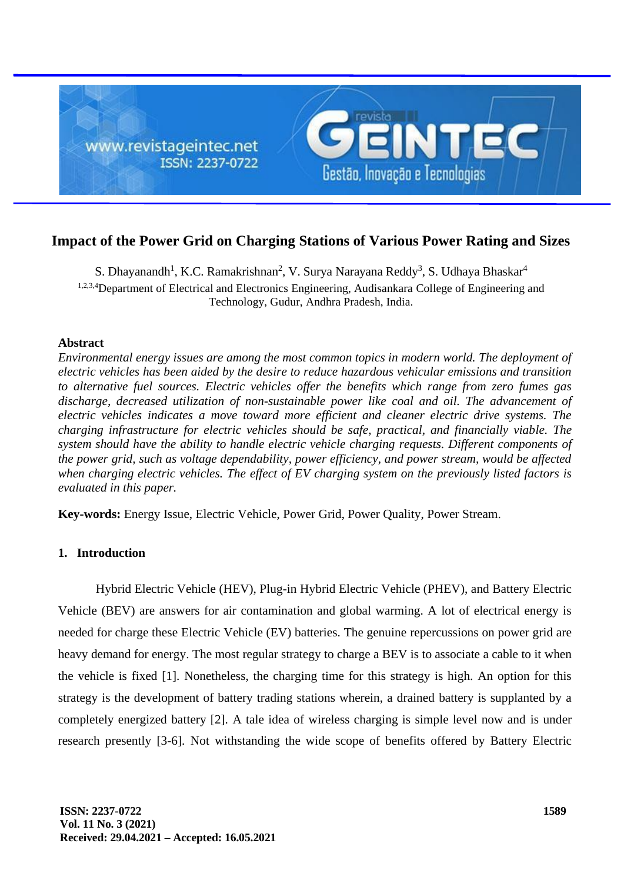

# **Impact of the Power Grid on Charging Stations of Various Power Rating and Sizes**

S. Dhayanandh<sup>1</sup>, K.C. Ramakrishnan<sup>2</sup>, V. Surya Narayana Reddy<sup>3</sup>, S. Udhaya Bhaskar<sup>4</sup> <sup>1,2,3,4</sup>Department of Electrical and Electronics Engineering, Audisankara College of Engineering and Technology, Gudur, Andhra Pradesh, India.

## **Abstract**

*Environmental energy issues are among the most common topics in modern world. The deployment of electric vehicles has been aided by the desire to reduce hazardous vehicular emissions and transition to alternative fuel sources. Electric vehicles offer the benefits which range from zero fumes gas discharge, decreased utilization of non-sustainable power like coal and oil. The advancement of electric vehicles indicates a move toward more efficient and cleaner electric drive systems. The charging infrastructure for electric vehicles should be safe, practical, and financially viable. The system should have the ability to handle electric vehicle charging requests. Different components of the power grid, such as voltage dependability, power efficiency, and power stream, would be affected when charging electric vehicles. The effect of EV charging system on the previously listed factors is evaluated in this paper.*

**Key-words:** Energy Issue, Electric Vehicle, Power Grid, Power Quality, Power Stream.

## **1. Introduction**

Hybrid Electric Vehicle (HEV), Plug-in Hybrid Electric Vehicle (PHEV), and Battery Electric Vehicle (BEV) are answers for air contamination and global warming. A lot of electrical energy is needed for charge these Electric Vehicle (EV) batteries. The genuine repercussions on power grid are heavy demand for energy. The most regular strategy to charge a BEV is to associate a cable to it when the vehicle is fixed [1]. Nonetheless, the charging time for this strategy is high. An option for this strategy is the development of battery trading stations wherein, a drained battery is supplanted by a completely energized battery [2]. A tale idea of wireless charging is simple level now and is under research presently [3-6]. Not withstanding the wide scope of benefits offered by Battery Electric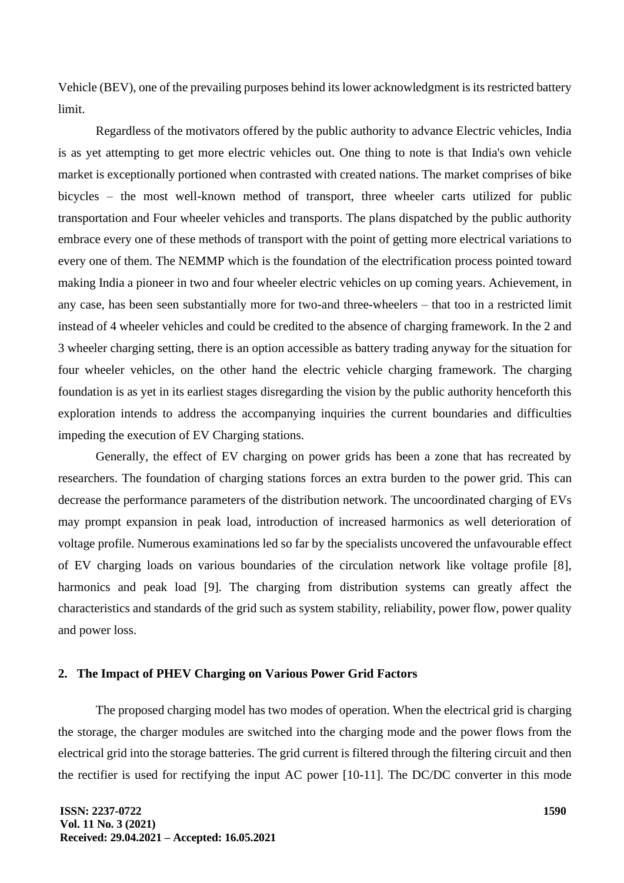Vehicle (BEV), one of the prevailing purposes behind its lower acknowledgment is its restricted battery limit.

Regardless of the motivators offered by the public authority to advance Electric vehicles, India is as yet attempting to get more electric vehicles out. One thing to note is that India's own vehicle market is exceptionally portioned when contrasted with created nations. The market comprises of bike bicycles – the most well-known method of transport, three wheeler carts utilized for public transportation and Four wheeler vehicles and transports. The plans dispatched by the public authority embrace every one of these methods of transport with the point of getting more electrical variations to every one of them. The NEMMP which is the foundation of the electrification process pointed toward making India a pioneer in two and four wheeler electric vehicles on up coming years. Achievement, in any case, has been seen substantially more for two-and three-wheelers – that too in a restricted limit instead of 4 wheeler vehicles and could be credited to the absence of charging framework. In the 2 and 3 wheeler charging setting, there is an option accessible as battery trading anyway for the situation for four wheeler vehicles, on the other hand the electric vehicle charging framework. The charging foundation is as yet in its earliest stages disregarding the vision by the public authority henceforth this exploration intends to address the accompanying inquiries the current boundaries and difficulties impeding the execution of EV Charging stations.

Generally, the effect of EV charging on power grids has been a zone that has recreated by researchers. The foundation of charging stations forces an extra burden to the power grid. This can decrease the performance parameters of the distribution network. The uncoordinated charging of EVs may prompt expansion in peak load, introduction of increased harmonics as well deterioration of voltage profile. Numerous examinations led so far by the specialists uncovered the unfavourable effect of EV charging loads on various boundaries of the circulation network like voltage profile [8], harmonics and peak load [9]. The charging from distribution systems can greatly affect the characteristics and standards of the grid such as system stability, reliability, power flow, power quality and power loss.

## **2. The Impact of PHEV Charging on Various Power Grid Factors**

The proposed charging model has two modes of operation. When the electrical grid is charging the storage, the charger modules are switched into the charging mode and the power flows from the electrical grid into the storage batteries. The grid current is filtered through the filtering circuit and then the rectifier is used for rectifying the input AC power [10-11]. The DC/DC converter in this mode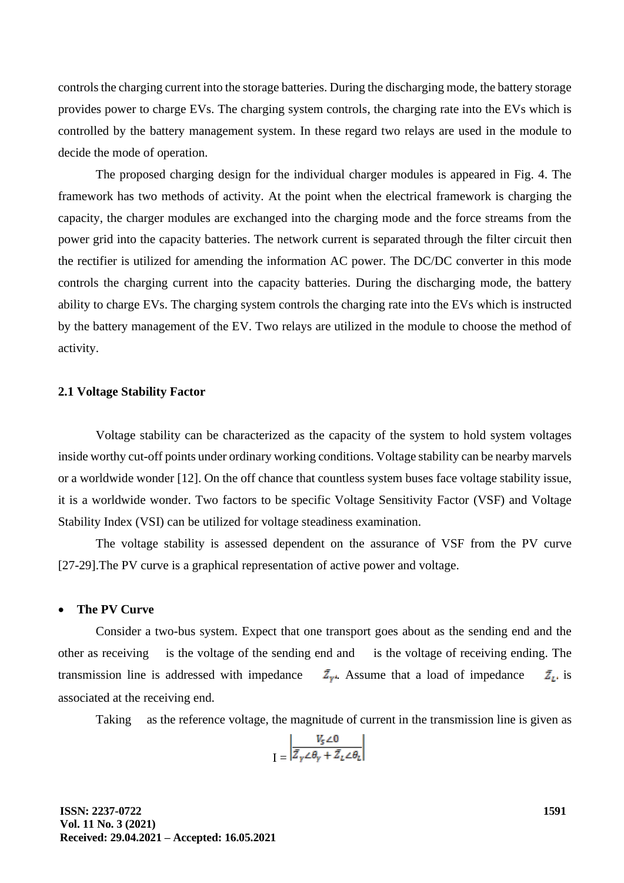controls the charging current into the storage batteries. During the discharging mode, the battery storage provides power to charge EVs. The charging system controls, the charging rate into the EVs which is controlled by the battery management system. In these regard two relays are used in the module to decide the mode of operation.

The proposed charging design for the individual charger modules is appeared in Fig. 4. The framework has two methods of activity. At the point when the electrical framework is charging the capacity, the charger modules are exchanged into the charging mode and the force streams from the power grid into the capacity batteries. The network current is separated through the filter circuit then the rectifier is utilized for amending the information AC power. The DC/DC converter in this mode controls the charging current into the capacity batteries. During the discharging mode, the battery ability to charge EVs. The charging system controls the charging rate into the EVs which is instructed by the battery management of the EV. Two relays are utilized in the module to choose the method of activity.

### **2.1 Voltage Stability Factor**

Voltage stability can be characterized as the capacity of the system to hold system voltages inside worthy cut-off points under ordinary working conditions. Voltage stability can be nearby marvels or a worldwide wonder [12]. On the off chance that countless system buses face voltage stability issue, it is a worldwide wonder. Two factors to be specific Voltage Sensitivity Factor (VSF) and Voltage Stability Index (VSI) can be utilized for voltage steadiness examination.

The voltage stability is assessed dependent on the assurance of VSF from the PV curve [27-29].The PV curve is a graphical representation of active power and voltage.

#### • **The PV Curve**

Consider a two-bus system. Expect that one transport goes about as the sending end and the other as receiving is the voltage of the sending end and is the voltage of receiving ending. The transmission line is addressed with impedance  $\bar{Z}_{\nu}$ . Assume that a load of impedance  $\bar{Z}_{\nu}$  is associated at the receiving end.

Taking as the reference voltage, the magnitude of current in the transmission line is given as

$$
I = \left| \frac{V_s \angle 0}{\bar{Z}_\gamma \angle \theta_\gamma + \bar{Z}_L \angle \theta_L} \right|
$$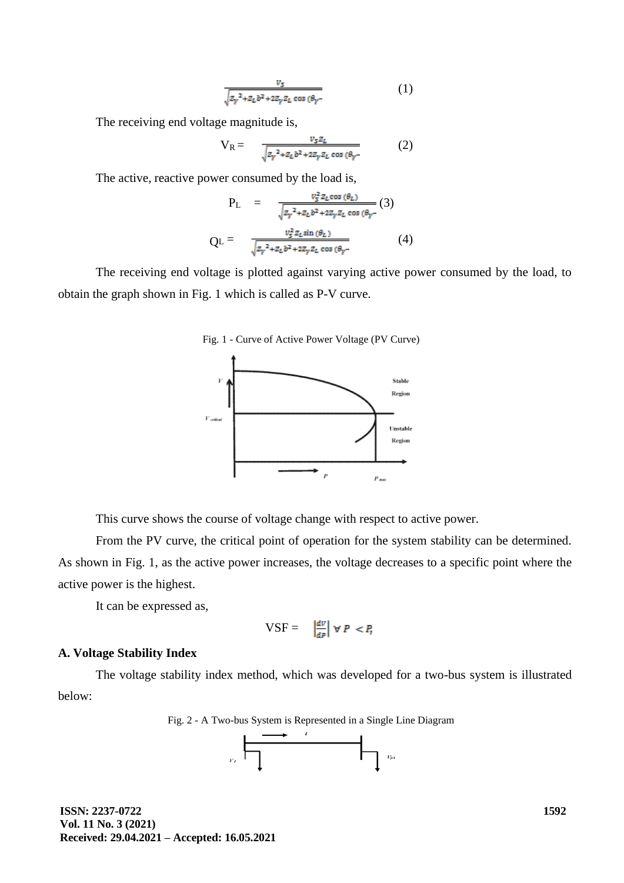$$
\frac{v_5}{\sqrt{z_{\gamma}^2 + z_L b^2 + 2z_{\gamma} z_L \cos{(\theta_{\gamma} - \theta_{\gamma})}}}
$$
(1)

The receiving end voltage magnitude is,

$$
V_R = \frac{v_s z_L}{\sqrt{z_{\gamma}^2 + z_L b^2 + 2z_{\gamma} z_L \cos(\theta_{\gamma})}}
$$
(2)

The active, reactive power consumed by the load is,

$$
P_{L} = \frac{v_{S}^{2} z_{L} \cos(\theta_{L})}{\sqrt{z_{\gamma}^{2} + z_{L} b^{2} + 2 z_{\gamma} z_{L} \cos(\theta_{\gamma} -}} (3)
$$

$$
Q_{L} = \frac{v_{S}^{2} z_{L} \sin(\theta_{L})}{\sqrt{z_{\gamma}^{2} + z_{L} b^{2} + 2 z_{\gamma} z_{L} \cos(\theta_{\gamma} -}} (4)
$$

The receiving end voltage is plotted against varying active power consumed by the load, to obtain the graph shown in Fig. 1 which is called as P-V curve.





This curve shows the course of voltage change with respect to active power.

From the PV curve, the critical point of operation for the system stability can be determined. As shown in Fig. 1, as the active power increases, the voltage decreases to a specific point where the active power is the highest.

It can be expressed as,

$$
VSF = \left| \frac{dV}{dp} \right| \forall P < P,
$$

## **A. Voltage Stability Index**

The voltage stability index method, which was developed for a two-bus system is illustrated below:

Fig. 2 - A Two-bus System is Represented in a Single Line Diagram

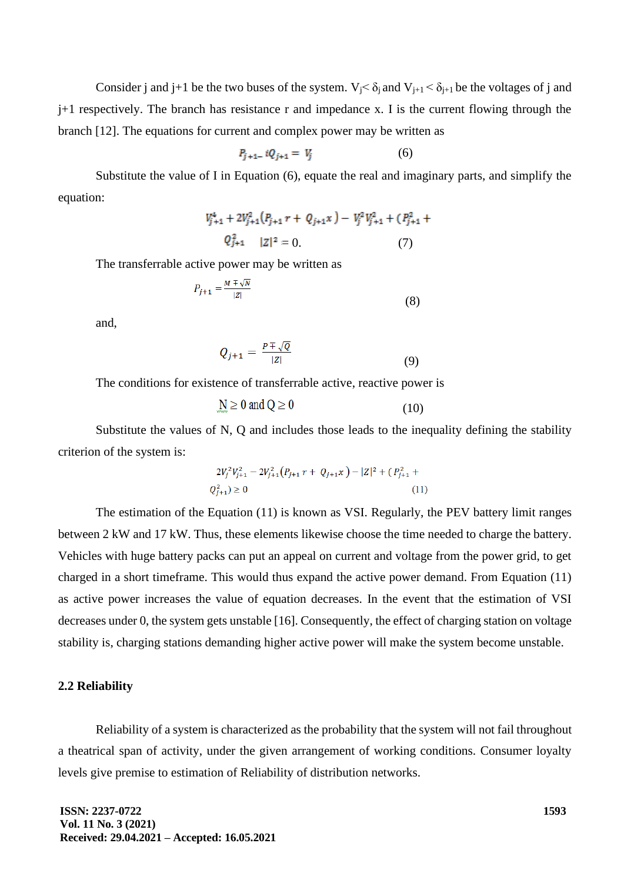Consider j and j+1 be the two buses of the system.  $V_i < \delta_i$  and  $V_{i+1} < \delta_{i+1}$  be the voltages of j and j+1 respectively. The branch has resistance r and impedance x. I is the current flowing through the branch [12]. The equations for current and complex power may be written as

$$
P_{j+1-} i Q_{j+1} = V_j \tag{6}
$$

Substitute the value of I in Equation (6), equate the real and imaginary parts, and simplify the equation:

$$
V_{j+1}^{4} + 2V_{j+1}^{2}(P_{j+1}r + Q_{j+1}x) - V_{j}^{2}V_{j+1}^{2} + (P_{j+1}^{2} + Q_{j+1}^{2} |Z|^{2} = 0.
$$
 (7)

The transferrable active power may be written as

$$
P_{j+1} = \frac{M \mp \sqrt{N}}{|Z|} \tag{8}
$$

and,

$$
Q_{j+1} = \frac{P \mp \sqrt{Q}}{|Z|} \tag{9}
$$

The conditions for existence of transferrable active, reactive power is

$$
\underline{\mathbf{M}} \ge 0 \text{ and } \mathbf{Q} \ge 0 \tag{10}
$$

Substitute the values of N, Q and includes those leads to the inequality defining the stability criterion of the system is:

$$
2V_j^2V_{j+1}^2 - 2V_{j+1}^2(P_{j+1}r + Q_{j+1}x) - |Z|^2 + (P_{j+1}^2 + Q_{j+1}^2) \ge 0
$$
\n(11)

The estimation of the Equation (11) is known as VSI. Regularly, the PEV battery limit ranges between 2 kW and 17 kW. Thus, these elements likewise choose the time needed to charge the battery. Vehicles with huge battery packs can put an appeal on current and voltage from the power grid, to get charged in a short timeframe. This would thus expand the active power demand. From Equation (11) as active power increases the value of equation decreases. In the event that the estimation of VSI decreases under 0, the system gets unstable [16]. Consequently, the effect of charging station on voltage stability is, charging stations demanding higher active power will make the system become unstable.

## **2.2 Reliability**

Reliability of a system is characterized as the probability that the system will not fail throughout a theatrical span of activity, under the given arrangement of working conditions. Consumer loyalty levels give premise to estimation of Reliability of distribution networks.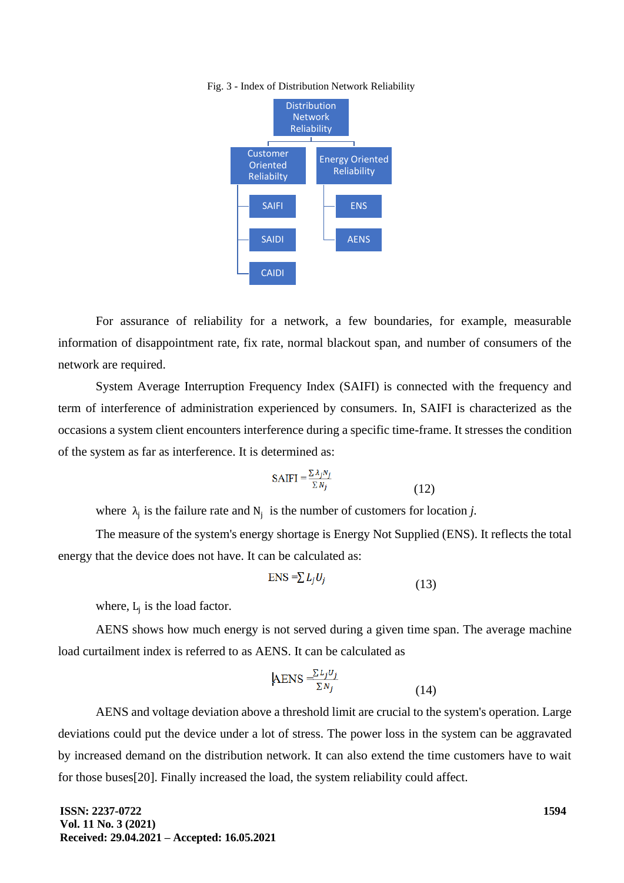#### Fig. 3 - Index of Distribution Network Reliability



For assurance of reliability for a network, a few boundaries, for example, measurable information of disappointment rate, fix rate, normal blackout span, and number of consumers of the network are required.

System Average Interruption Frequency Index (SAIFI) is connected with the frequency and term of interference of administration experienced by consumers. In, SAIFI is characterized as the occasions a system client encounters interference during a specific time-frame. It stresses the condition of the system as far as interference. It is determined as:

$$
SAIFI = \frac{\sum \lambda_j N_j}{\sum N_j}
$$
 (12)

where  $\lambda_j$  is the failure rate and  $N_j$  is the number of customers for location *j*.

The measure of the system's energy shortage is Energy Not Supplied (ENS). It reflects the total energy that the device does not have. It can be calculated as:

$$
ENS = \sum L_j U_j \tag{13}
$$

where,  $L_j$  is the load factor.

AENS shows how much energy is not served during a given time span. The average machine load curtailment index is referred to as AENS. It can be calculated as

$$
AENS = \frac{\sum L_j U_j}{\sum N_j}
$$
 (14)

AENS and voltage deviation above a threshold limit are crucial to the system's operation. Large deviations could put the device under a lot of stress. The power loss in the system can be aggravated by increased demand on the distribution network. It can also extend the time customers have to wait for those buses[20]. Finally increased the load, the system reliability could affect.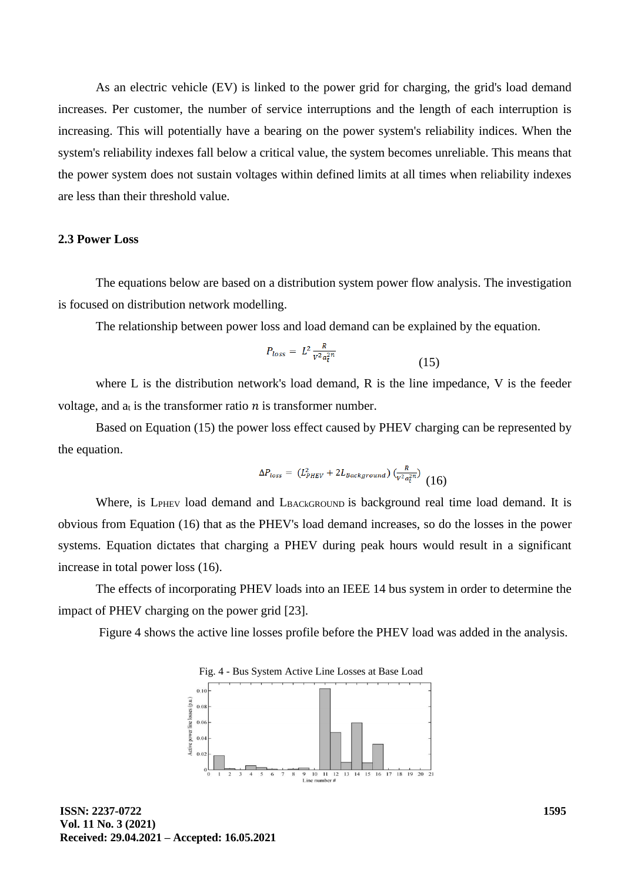As an electric vehicle (EV) is linked to the power grid for charging, the grid's load demand increases. Per customer, the number of service interruptions and the length of each interruption is increasing. This will potentially have a bearing on the power system's reliability indices. When the system's reliability indexes fall below a critical value, the system becomes unreliable. This means that the power system does not sustain voltages within defined limits at all times when reliability indexes are less than their threshold value.

## **2.3 Power Loss**

The equations below are based on a distribution system power flow analysis. The investigation is focused on distribution network modelling.

The relationship between power loss and load demand can be explained by the equation.

$$
P_{loss} = L^2 \frac{R}{V^2 a_t^{2n}} \tag{15}
$$

where L is the distribution network's load demand, R is the line impedance, V is the feeder voltage, and  $a_t$  is the transformer ratio  $n$  is transformer number.

Based on Equation (15) the power loss effect caused by PHEV charging can be represented by the equation.

$$
\Delta P_{loss} = (L_{PHEV}^2 + 2L_{Background}) \left(\frac{R}{v^2 a_t^2}\right) \tag{16}
$$

Where, is  $L_{\text{PHEV}}$  load demand and  $L_{\text{BACKGROUND}}$  is background real time load demand. It is obvious from Equation (16) that as the PHEV's load demand increases, so do the losses in the power systems. Equation dictates that charging a PHEV during peak hours would result in a significant increase in total power loss (16).

The effects of incorporating PHEV loads into an IEEE 14 bus system in order to determine the impact of PHEV charging on the power grid [23].

Figure 4 shows the active line losses profile before the PHEV load was added in the analysis.

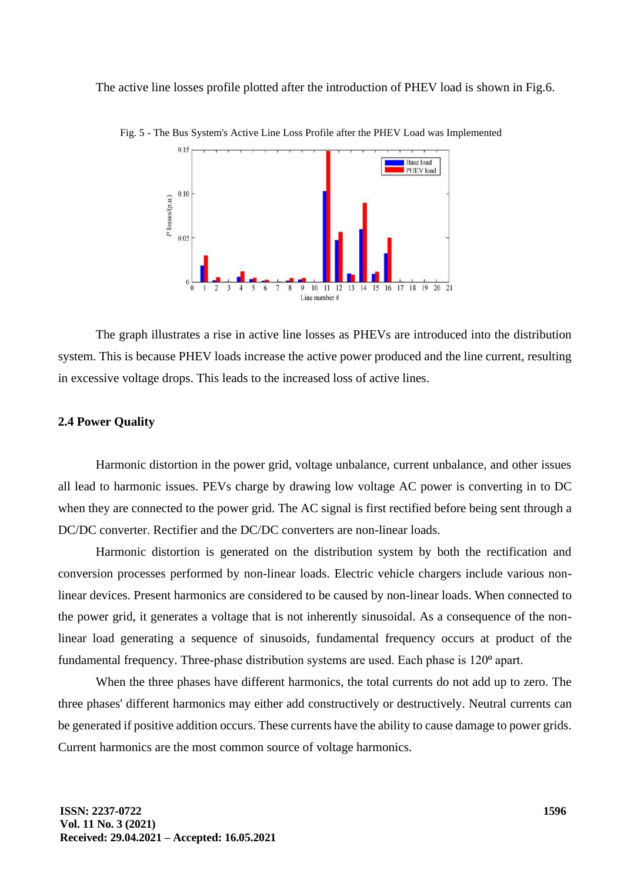The active line losses profile plotted after the introduction of PHEV load is shown in Fig.6.



Fig. 5 - The Bus System's Active Line Loss Profile after the PHEV Load was Implemented

The graph illustrates a rise in active line losses as PHEVs are introduced into the distribution system. This is because PHEV loads increase the active power produced and the line current, resulting in excessive voltage drops. This leads to the increased loss of active lines.

## **2.4 Power Quality**

Harmonic distortion in the power grid, voltage unbalance, current unbalance, and other issues all lead to harmonic issues. PEVs charge by drawing low voltage AC power is converting in to DC when they are connected to the power grid. The AC signal is first rectified before being sent through a DC/DC converter. Rectifier and the DC/DC converters are non-linear loads.

Harmonic distortion is generated on the distribution system by both the rectification and conversion processes performed by non-linear loads. Electric vehicle chargers include various nonlinear devices. Present harmonics are considered to be caused by non-linear loads. When connected to the power grid, it generates a voltage that is not inherently sinusoidal. As a consequence of the nonlinear load generating a sequence of sinusoids, fundamental frequency occurs at product of the fundamental frequency. Three-phase distribution systems are used. Each phase is 120<sup>°</sup> apart.

When the three phases have different harmonics, the total currents do not add up to zero. The three phases' different harmonics may either add constructively or destructively. Neutral currents can be generated if positive addition occurs. These currents have the ability to cause damage to power grids. Current harmonics are the most common source of voltage harmonics.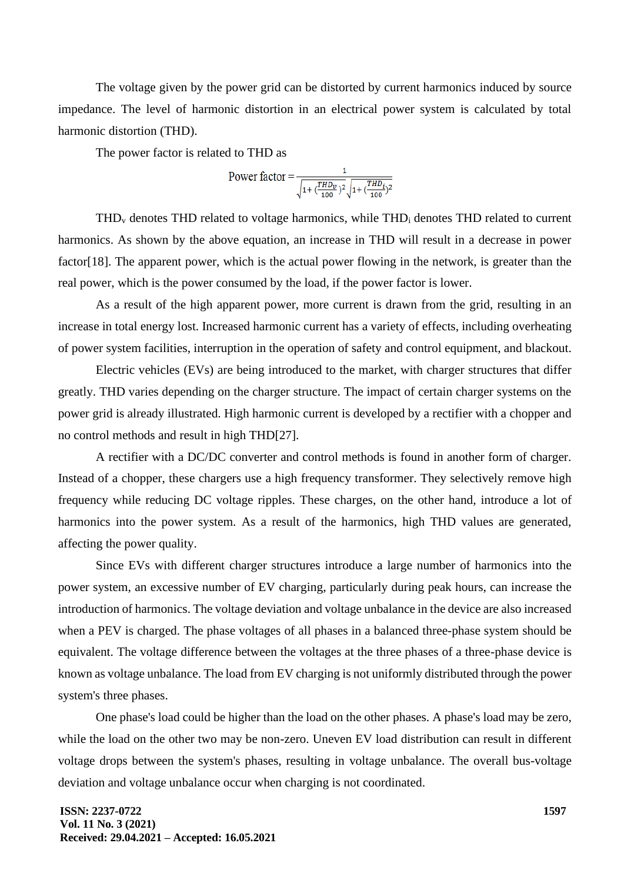The voltage given by the power grid can be distorted by current harmonics induced by source impedance. The level of harmonic distortion in an electrical power system is calculated by total harmonic distortion (THD).

The power factor is related to THD as

Power factor = 
$$
\frac{1}{\sqrt{1 + \left(\frac{THD_v}{100}\right)^2} \sqrt{1 + \left(\frac{THD_i}{100}\right)^2}}
$$

 $THD<sub>v</sub>$  denotes THD related to voltage harmonics, while THD<sub>i</sub> denotes THD related to current harmonics. As shown by the above equation, an increase in THD will result in a decrease in power factor[18]. The apparent power, which is the actual power flowing in the network, is greater than the real power, which is the power consumed by the load, if the power factor is lower.

As a result of the high apparent power, more current is drawn from the grid, resulting in an increase in total energy lost. Increased harmonic current has a variety of effects, including overheating of power system facilities, interruption in the operation of safety and control equipment, and blackout.

Electric vehicles (EVs) are being introduced to the market, with charger structures that differ greatly. THD varies depending on the charger structure. The impact of certain charger systems on the power grid is already illustrated. High harmonic current is developed by a rectifier with a chopper and no control methods and result in high THD[27].

A rectifier with a DC/DC converter and control methods is found in another form of charger. Instead of a chopper, these chargers use a high frequency transformer. They selectively remove high frequency while reducing DC voltage ripples. These charges, on the other hand, introduce a lot of harmonics into the power system. As a result of the harmonics, high THD values are generated, affecting the power quality.

Since EVs with different charger structures introduce a large number of harmonics into the power system, an excessive number of EV charging, particularly during peak hours, can increase the introduction of harmonics. The voltage deviation and voltage unbalance in the device are also increased when a PEV is charged. The phase voltages of all phases in a balanced three-phase system should be equivalent. The voltage difference between the voltages at the three phases of a three-phase device is known as voltage unbalance. The load from EV charging is not uniformly distributed through the power system's three phases.

One phase's load could be higher than the load on the other phases. A phase's load may be zero, while the load on the other two may be non-zero. Uneven EV load distribution can result in different voltage drops between the system's phases, resulting in voltage unbalance. The overall bus-voltage deviation and voltage unbalance occur when charging is not coordinated.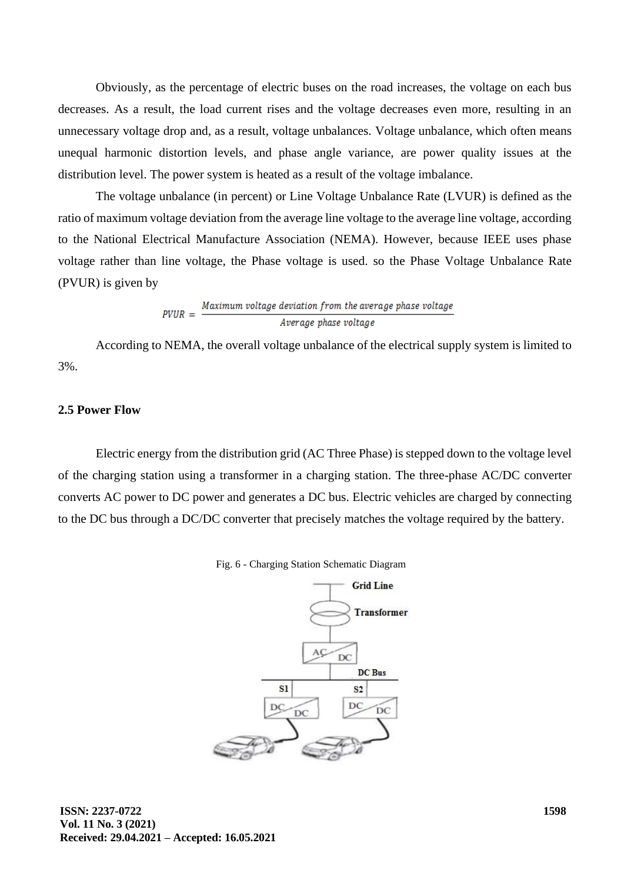Obviously, as the percentage of electric buses on the road increases, the voltage on each bus decreases. As a result, the load current rises and the voltage decreases even more, resulting in an unnecessary voltage drop and, as a result, voltage unbalances. Voltage unbalance, which often means unequal harmonic distortion levels, and phase angle variance, are power quality issues at the distribution level. The power system is heated as a result of the voltage imbalance.

The voltage unbalance (in percent) or Line Voltage Unbalance Rate (LVUR) is defined as the ratio of maximum voltage deviation from the average line voltage to the average line voltage, according to the National Electrical Manufacture Association (NEMA). However, because IEEE uses phase voltage rather than line voltage, the Phase voltage is used. so the Phase Voltage Unbalance Rate (PVUR) is given by

# $PVUR = \frac{Maximum \, voltage \, deviation \, from \, the \, average \, phase \, voltage}{Average \, phase \, voltage}$ Average phase voltage

According to NEMA, the overall voltage unbalance of the electrical supply system is limited to 3%.

## **2.5 Power Flow**

Electric energy from the distribution grid (AC Three Phase) is stepped down to the voltage level of the charging station using a transformer in a charging station. The three-phase AC/DC converter converts AC power to DC power and generates a DC bus. Electric vehicles are charged by connecting to the DC bus through a DC/DC converter that precisely matches the voltage required by the battery.



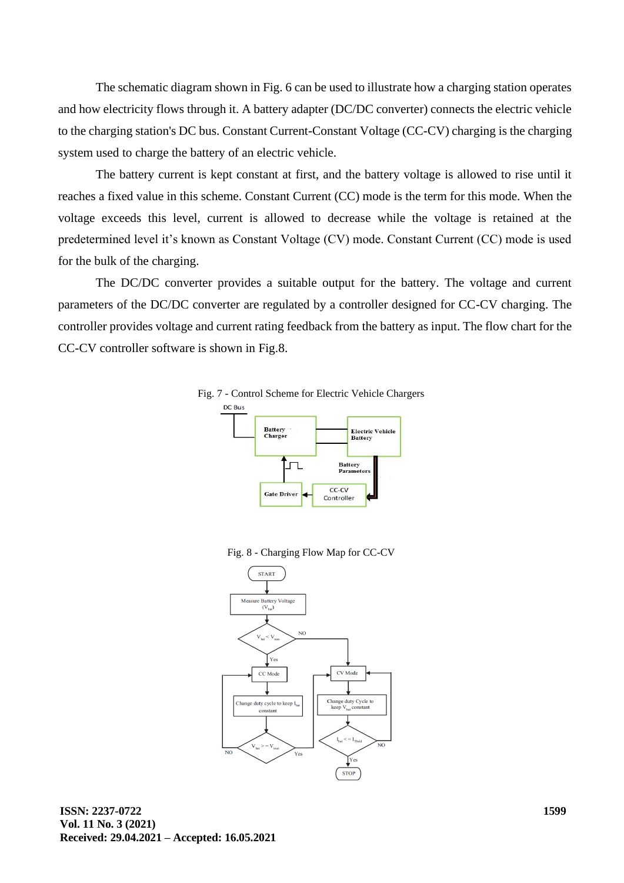The schematic diagram shown in Fig. 6 can be used to illustrate how a charging station operates and how electricity flows through it. A battery adapter (DC/DC converter) connects the electric vehicle to the charging station's DC bus. Constant Current-Constant Voltage (CC-CV) charging is the charging system used to charge the battery of an electric vehicle.

The battery current is kept constant at first, and the battery voltage is allowed to rise until it reaches a fixed value in this scheme. Constant Current (CC) mode is the term for this mode. When the voltage exceeds this level, current is allowed to decrease while the voltage is retained at the predetermined level it's known as Constant Voltage (CV) mode. Constant Current (CC) mode is used for the bulk of the charging.

The DC/DC converter provides a suitable output for the battery. The voltage and current parameters of the DC/DC converter are regulated by a controller designed for CC-CV charging. The controller provides voltage and current rating feedback from the battery as input. The flow chart for the CC-CV controller software is shown in Fig.8.



Fig. 8 - Charging Flow Map for CC-CV

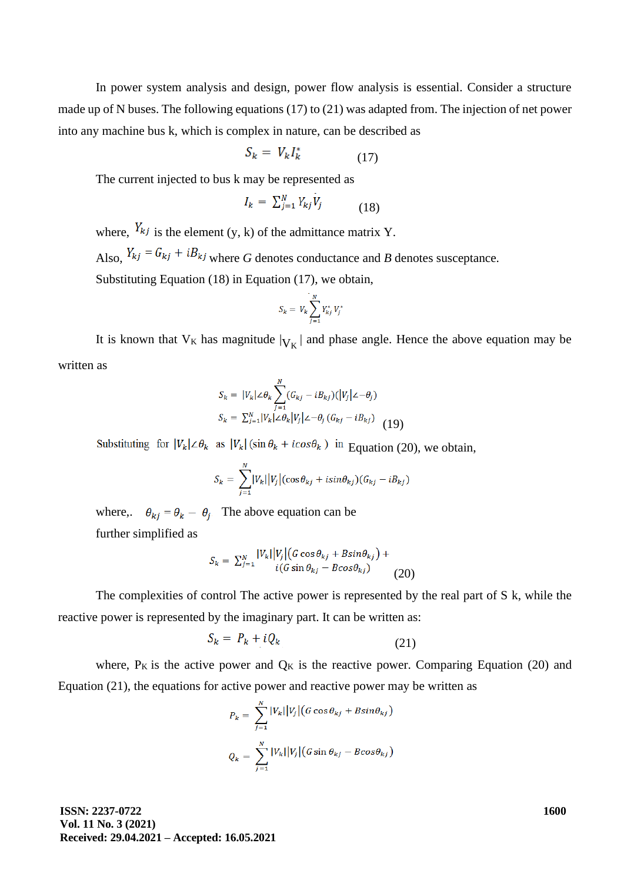In power system analysis and design, power flow analysis is essential. Consider a structure made up of N buses. The following equations (17) to (21) was adapted from. The injection of net power into any machine bus k, which is complex in nature, can be described as

$$
S_k = V_k I_k^* \tag{17}
$$

The current injected to bus k may be represented as

$$
I_k = \sum_{j=1}^N Y_{kj} V_j \tag{18}
$$

where,  $Y_{kj}$  is the element (y, k) of the admittance matrix Y. Also,  $Y_{kj} = G_{kj} + iB_{kj}$  where *G* denotes conductance and *B* denotes susceptance. Substituting Equation (18) in Equation (17), we obtain,

$$
S_k = V_k \sum_{j=1}^{N} Y_{kj}^* V_j^*
$$

It is known that  $V_K$  has magnitude  $|V_K|$  and phase angle. Hence the above equation may be written as

$$
S_k = |V_k| \angle \theta_k \sum_{j=1}^{N} (G_{kj} - iB_{kj})(|V_j| \angle -\theta_j)
$$
  

$$
S_k = \sum_{j=1}^{N} |V_k| \angle \theta_k |V_j| \angle -\theta_j (G_{kj} - iB_{kj})
$$
 (19)

Substituting for  $|V_k| \leq \theta_k$  as  $|V_k| (\sin \theta_k + i \cos \theta_k)$  in Equation (20), we obtain,

$$
S_k = \sum_{j=1}^N |V_k||V_j|(\cos \theta_{kj} + i \sin \theta_{kj})(G_{kj} - i B_{kj})
$$

where,  $\theta_{ki} = \theta_k - \theta_i$ . The above equation can be further simplified as

$$
S_k = \sum_{j=1}^N \frac{|V_k||V_j|(G\cos\theta_{kj} + B\sin\theta_{kj}) + (G\sin\theta_{kj} - B\cos\theta_{kj})}{i(G\sin\theta_{kj} - B\cos\theta_{kj})}
$$
(20)

The complexities of control The active power is represented by the real part of S k, while the reactive power is represented by the imaginary part. It can be written as:

$$
S_k = P_k + i Q_k \tag{21}
$$

where,  $P_K$  is the active power and  $Q_K$  is the reactive power. Comparing Equation (20) and Equation (21), the equations for active power and reactive power may be written as

$$
P_k = \sum_{j=1}^{N} |V_k| |V_j| (G \cos \theta_{kj} + B \sin \theta_{kj})
$$
  

$$
Q_k = \sum_{j=1}^{N} |V_k| |V_j| (G \sin \theta_{kj} - B \cos \theta_{kj})
$$

**ISSN: 2237-0722 Vol. 11 No. 3 (2021) Received: 29.04.2021 – Accepted: 16.05.2021**  **1600**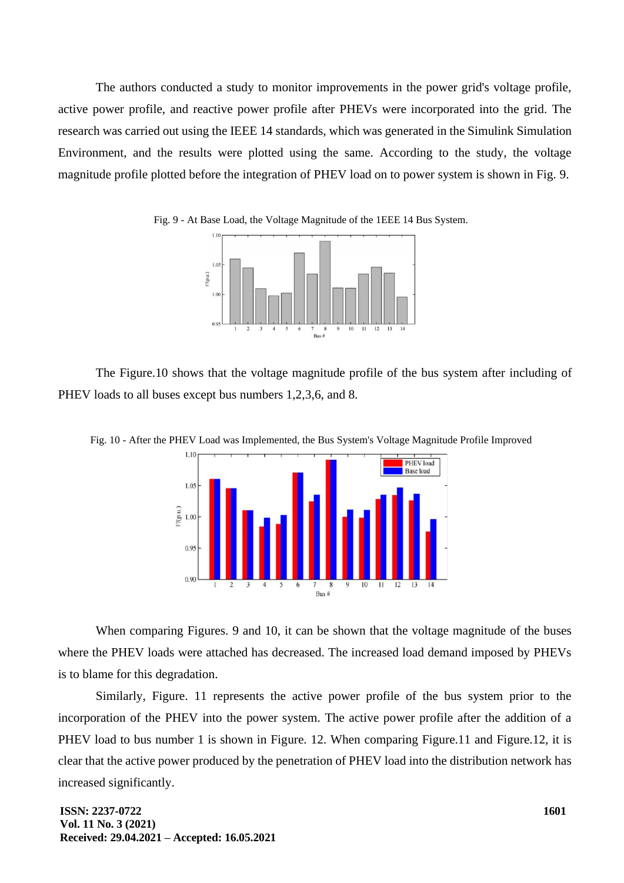The authors conducted a study to monitor improvements in the power grid's voltage profile, active power profile, and reactive power profile after PHEVs were incorporated into the grid. The research was carried out using the IEEE 14 standards, which was generated in the Simulink Simulation Environment, and the results were plotted using the same. According to the study, the voltage magnitude profile plotted before the integration of PHEV load on to power system is shown in Fig. 9.





The Figure.10 shows that the voltage magnitude profile of the bus system after including of PHEV loads to all buses except bus numbers 1,2,3,6, and 8.



Fig. 10 - After the PHEV Load was Implemented, the Bus System's Voltage Magnitude Profile Improved

When comparing Figures. 9 and 10, it can be shown that the voltage magnitude of the buses where the PHEV loads were attached has decreased. The increased load demand imposed by PHEVs is to blame for this degradation.

Similarly, Figure. 11 represents the active power profile of the bus system prior to the incorporation of the PHEV into the power system. The active power profile after the addition of a PHEV load to bus number 1 is shown in Figure. 12. When comparing Figure. 11 and Figure. 12, it is clear that the active power produced by the penetration of PHEV load into the distribution network has increased significantly.

**ISSN: 2237-0722 Vol. 11 No. 3 (2021) Received: 29.04.2021 – Accepted: 16.05.2021**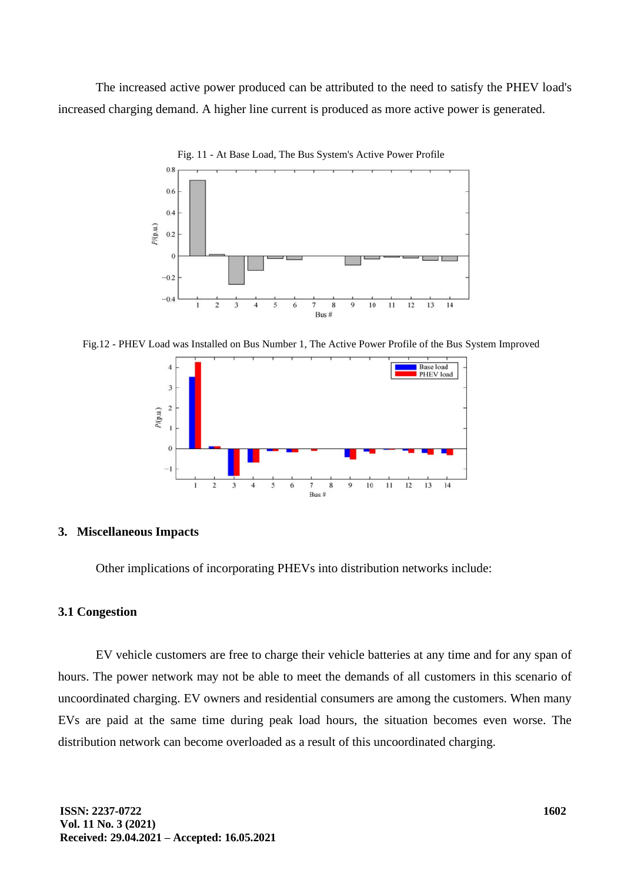The increased active power produced can be attributed to the need to satisfy the PHEV load's increased charging demand. A higher line current is produced as more active power is generated.



Fig. 11 - At Base Load, The Bus System's Active Power Profile

Fig.12 - PHEV Load was Installed on Bus Number 1, The Active Power Profile of the Bus System Improved



#### **3. Miscellaneous Impacts**

Other implications of incorporating PHEVs into distribution networks include:

## **3.1 Congestion**

EV vehicle customers are free to charge their vehicle batteries at any time and for any span of hours. The power network may not be able to meet the demands of all customers in this scenario of uncoordinated charging. EV owners and residential consumers are among the customers. When many EVs are paid at the same time during peak load hours, the situation becomes even worse. The distribution network can become overloaded as a result of this uncoordinated charging.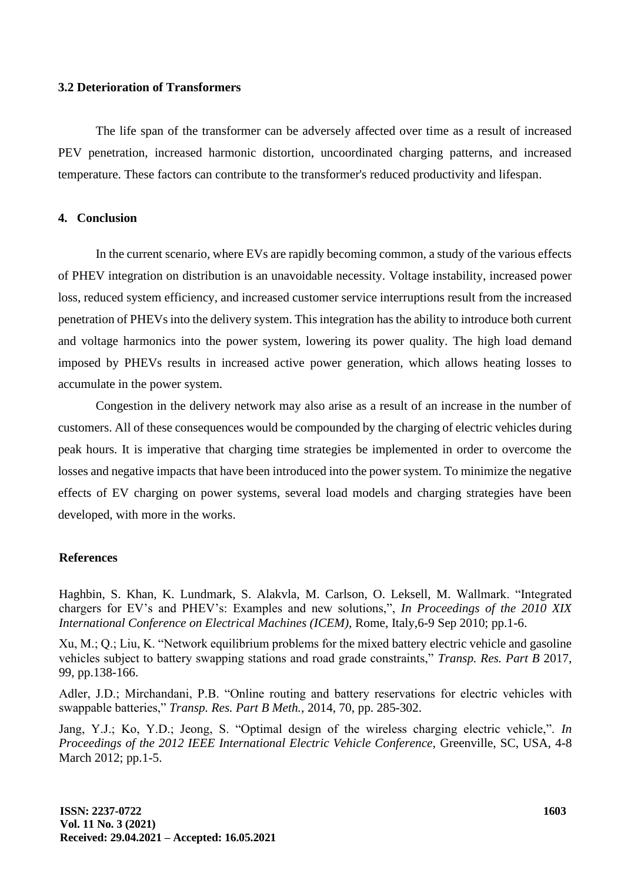## **3.2 Deterioration of Transformers**

The life span of the transformer can be adversely affected over time as a result of increased PEV penetration, increased harmonic distortion, uncoordinated charging patterns, and increased temperature. These factors can contribute to the transformer's reduced productivity and lifespan.

## **4. Conclusion**

In the current scenario, where EVs are rapidly becoming common, a study of the various effects of PHEV integration on distribution is an unavoidable necessity. Voltage instability, increased power loss, reduced system efficiency, and increased customer service interruptions result from the increased penetration of PHEVs into the delivery system. This integration has the ability to introduce both current and voltage harmonics into the power system, lowering its power quality. The high load demand imposed by PHEVs results in increased active power generation, which allows heating losses to accumulate in the power system.

Congestion in the delivery network may also arise as a result of an increase in the number of customers. All of these consequences would be compounded by the charging of electric vehicles during peak hours. It is imperative that charging time strategies be implemented in order to overcome the losses and negative impacts that have been introduced into the power system. To minimize the negative effects of EV charging on power systems, several load models and charging strategies have been developed, with more in the works.

## **References**

Haghbin, S. Khan, K. Lundmark, S. Alakvla, M. Carlson, O. Leksell, M. Wallmark. "Integrated chargers for EV's and PHEV's: Examples and new solutions,", *In Proceedings of the 2010 XIX International Conference on Electrical Machines (ICEM),* Rome, Italy,6-9 Sep 2010; pp.1-6.

Xu, M.; Q.; Liu, K. "Network equilibrium problems for the mixed battery electric vehicle and gasoline vehicles subject to battery swapping stations and road grade constraints," *Transp. Res. Part B* 2017, 99, pp.138-166.

Adler, J.D.; Mirchandani, P.B. "Online routing and battery reservations for electric vehicles with swappable batteries," *Transp. Res. Part B Meth.*, 2014, 70, pp. 285-302.

Jang, Y.J.; Ko, Y.D.; Jeong, S. "Optimal design of the wireless charging electric vehicle,". *In Proceedings of the 2012 IEEE International Electric Vehicle Conference,* Greenville, SC, USA, 4-8 March 2012; pp.1-5.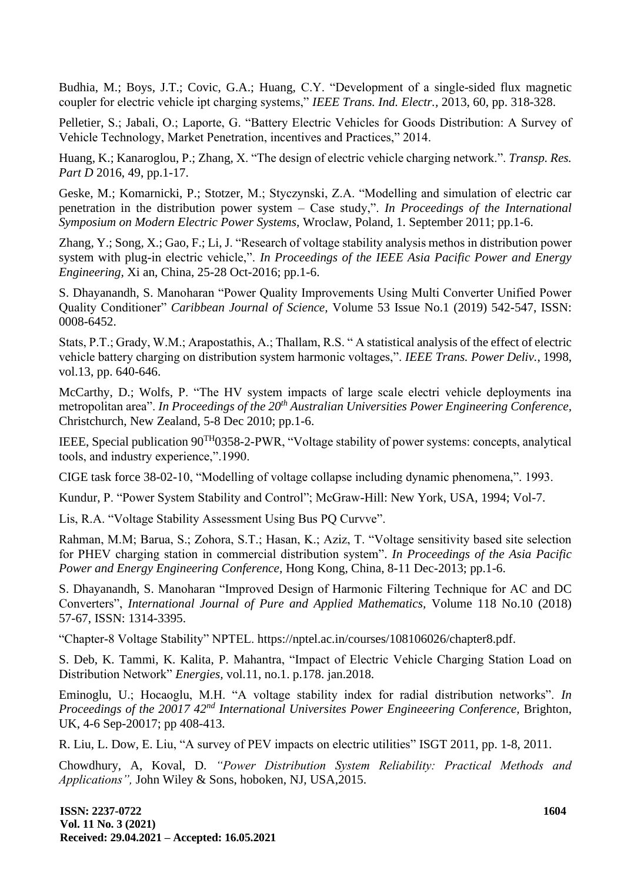Budhia, M.; Boys, J.T.; Covic, G.A.; Huang, C.Y. "Development of a single-sided flux magnetic coupler for electric vehicle ipt charging systems," *IEEE Trans. Ind. Electr.,* 2013, 60, pp. 318-328.

Pelletier, S.; Jabali, O.; Laporte, G. "Battery Electric Vehicles for Goods Distribution: A Survey of Vehicle Technology, Market Penetration, incentives and Practices," 2014.

Huang, K.; Kanaroglou, P.; Zhang, X. "The design of electric vehicle charging network.". *Transp. Res. Part D* 2016, 49, pp.1-17.

Geske, M.; Komarnicki, P.; Stotzer, M.; Styczynski, Z.A. "Modelling and simulation of electric car penetration in the distribution power system – Case study,". *In Proceedings of the International Symposium on Modern Electric Power Systems,* Wroclaw, Poland, 1. September 2011; pp.1-6.

Zhang, Y.; Song, X.; Gao, F.; Li, J. "Research of voltage stability analysis methos in distribution power system with plug-in electric vehicle,". *In Proceedings of the IEEE Asia Pacific Power and Energy Engineering,* Xi an, China, 25-28 Oct-2016; pp.1-6.

S. Dhayanandh, S. Manoharan "Power Quality Improvements Using Multi Converter Unified Power Quality Conditioner" *Caribbean Journal of Science,* Volume 53 Issue No.1 (2019) 542-547, ISSN: 0008-6452.

Stats, P.T.; Grady, W.M.; Arapostathis, A.; Thallam, R.S. " A statistical analysis of the effect of electric vehicle battery charging on distribution system harmonic voltages,". *IEEE Trans. Power Deliv.*, 1998, vol.13, pp. 640-646.

McCarthy, D.; Wolfs, P. "The HV system impacts of large scale electri vehicle deployments ina metropolitan area". *In Proceedings of the 20th Australian Universities Power Engineering Conference,* Christchurch, New Zealand, 5-8 Dec 2010; pp.1-6.

IEEE, Special publication 90TH0358-2-PWR, "Voltage stability of power systems: concepts, analytical tools, and industry experience,".1990.

CIGE task force 38-02-10, "Modelling of voltage collapse including dynamic phenomena,". 1993.

Kundur, P. "Power System Stability and Control"; McGraw-Hill: New York, USA, 1994; Vol-7.

Lis, R.A. "Voltage Stability Assessment Using Bus PQ Curvve".

Rahman, M.M; Barua, S.; Zohora, S.T.; Hasan, K.; Aziz, T. "Voltage sensitivity based site selection for PHEV charging station in commercial distribution system". *In Proceedings of the Asia Pacific Power and Energy Engineering Conference,* Hong Kong, China, 8-11 Dec-2013; pp.1-6.

S. Dhayanandh, S. Manoharan "Improved Design of Harmonic Filtering Technique for AC and DC Converters", *International Journal of Pure and Applied Mathematics,* Volume 118 No.10 (2018) 57-67, ISSN: 1314-3395.

"Chapter-8 Voltage Stability" NPTEL. [https://nptel.ac.in/courses/108106026/chapter8.pdf.](https://nptel.ac.in/courses/108106026/chapter8.pdf)

S. Deb, K. Tammi, K. Kalita, P. Mahantra, "Impact of Electric Vehicle Charging Station Load on Distribution Network" *Energies,* vol.11, no.1. p.178. jan.2018.

Eminoglu, U.; Hocaoglu, M.H. "A voltage stability index for radial distribution networks". *In Proceedings of the 20017 42nd International Universites Power Engineeering Conference,* Brighton, UK, 4-6 Sep-20017; pp 408-413.

R. Liu, L. Dow, E. Liu, "A survey of PEV impacts on electric utilities" ISGT 2011, pp. 1-8, 2011.

Chowdhury, A, Koval, D. *"Power Distribution System Reliability: Practical Methods and Applications",* John Wiley & Sons, hoboken, NJ, USA,2015.